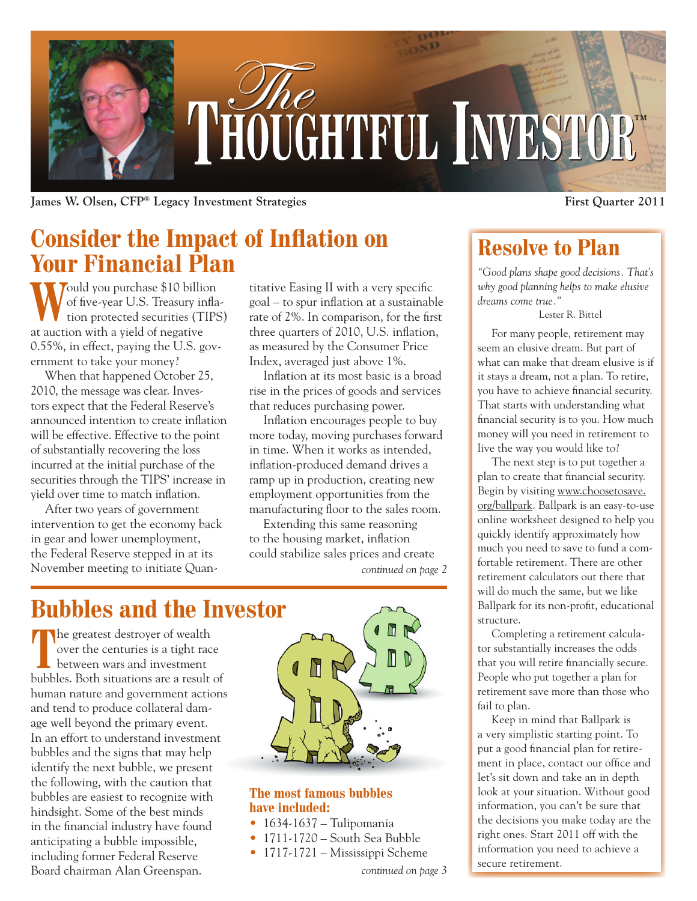

**James W. Olsen, CFP**<sup>®</sup> Legacy Investment Strategies **8 COVID-100 COVID-100 COVID-100** First Quarter 2011

## **Consider the Impact of Inflation on Your Financial Plan**

Yould you purchase \$10 billion of five-year U.S. Treasury inflation protected securities (TIPS) at auction with a yield of negative 0.55%, in effect, paying the U.S. government to take your money?

When that happened October 25, 2010, the message was clear. Investors expect that the Federal Reserve's announced intention to create inflation will be effective. Effective to the point of substantially recovering the loss incurred at the initial purchase of the securities through the TIPS' increase in yield over time to match inflation.

After two years of government intervention to get the economy back in gear and lower unemployment, the Federal Reserve stepped in at its November meeting to initiate Quantitative Easing II with a very specific goal – to spur inflation at a sustainable rate of 2%. In comparison, for the first three quarters of 2010, U.S. inflation, as measured by the Consumer Price Index, averaged just above 1%.

Inflation at its most basic is a broad rise in the prices of goods and services that reduces purchasing power.

Inflation encourages people to buy more today, moving purchases forward in time. When it works as intended, inflation-produced demand drives a ramp up in production, creating new employment opportunities from the manufacturing floor to the sales room.

Extending this same reasoning to the housing market, inflation could stabilize sales prices and create *continued on page 2*

# **Bubbles and the Investor**

**T**he greatest destroyer of wealth over the centuries is a tight race between wars and investment bubbles. Both situations are a result of human nature and government actions and tend to produce collateral damage well beyond the primary event. In an effort to understand investment bubbles and the signs that may help identify the next bubble, we present the following, with the caution that bubbles are easiest to recognize with hindsight. Some of the best minds in the financial industry have found anticipating a bubble impossible, including former Federal Reserve Board chairman Alan Greenspan.



#### **The most famous bubbles have included:**

- $\bullet$  1634-1637 Tulipomania
- 1711-1720 South Sea Bubble
- 1717-1721 Mississippi Scheme

*continued on page 3*

## **Resolve to Plan**

*"Good plans shape good decisions. That's why good planning helps to make elusive dreams come true."*

Lester R. Bittel

For many people, retirement may seem an elusive dream. But part of what can make that dream elusive is if it stays a dream, not a plan. To retire, you have to achieve financial security. That starts with understanding what financial security is to you. How much money will you need in retirement to live the way you would like to?

The next step is to put together a plan to create that financial security. Begin by visiting www.choosetosave. org/ballpark. Ballpark is an easy-to-use online worksheet designed to help you quickly identify approximately how much you need to save to fund a comfortable retirement. There are other retirement calculators out there that will do much the same, but we like Ballpark for its non-profit, educational structure.

Completing a retirement calculator substantially increases the odds that you will retire financially secure. People who put together a plan for retirement save more than those who fail to plan.

Keep in mind that Ballpark is a very simplistic starting point. To put a good financial plan for retirement in place, contact our office and let's sit down and take an in depth look at your situation. Without good information, you can't be sure that the decisions you make today are the right ones. Start 2011 off with the information you need to achieve a secure retirement.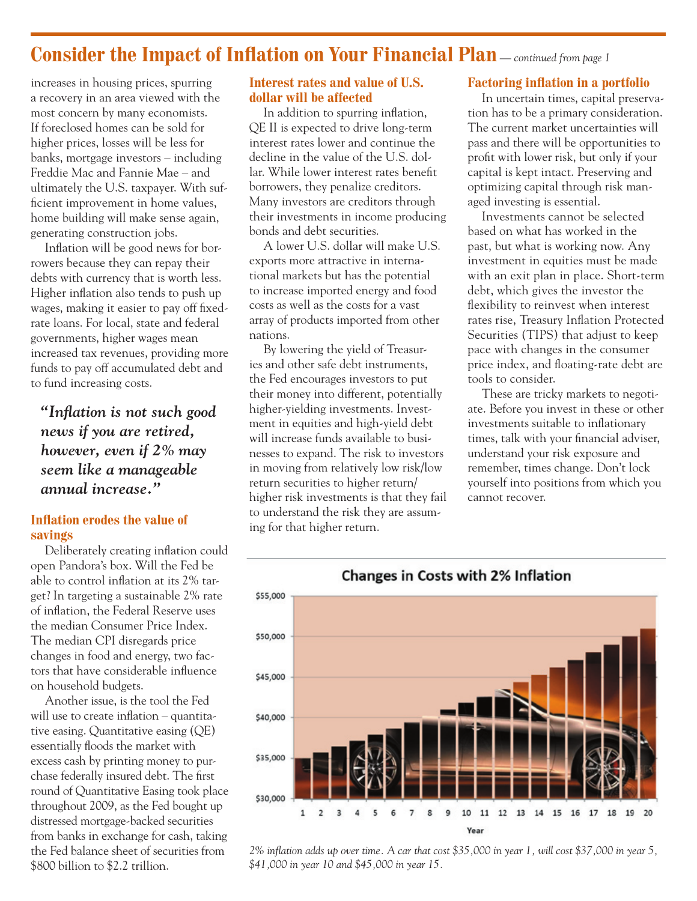### **Consider the Impact of Inflation on Your Financial Plan** *— continued from page 1*

increases in housing prices, spurring a recovery in an area viewed with the most concern by many economists. If foreclosed homes can be sold for higher prices, losses will be less for banks, mortgage investors – including Freddie Mac and Fannie Mae – and ultimately the U.S. taxpayer. With sufficient improvement in home values, home building will make sense again, generating construction jobs.

Inflation will be good news for borrowers because they can repay their debts with currency that is worth less. Higher inflation also tends to push up wages, making it easier to pay off fixedrate loans. For local, state and federal governments, higher wages mean increased tax revenues, providing more funds to pay off accumulated debt and to fund increasing costs.

*"Inflation is not such good news if you are retired, however, even if 2% may seem like a manageable annual increase."*

#### **Inflation erodes the value of savings**

Deliberately creating inflation could open Pandora's box. Will the Fed be able to control inflation at its 2% target? In targeting a sustainable 2% rate of inflation, the Federal Reserve uses the median Consumer Price Index. The median CPI disregards price changes in food and energy, two factors that have considerable influence on household budgets.

Another issue, is the tool the Fed will use to create inflation – quantitative easing. Quantitative easing (QE) essentially floods the market with excess cash by printing money to purchase federally insured debt. The first round of Quantitative Easing took place throughout 2009, as the Fed bought up distressed mortgage-backed securities from banks in exchange for cash, taking the Fed balance sheet of securities from \$800 billion to \$2.2 trillion.

#### **Interest rates and value of U.S. dollar will be affected**

In addition to spurring inflation, QE II is expected to drive long-term interest rates lower and continue the decline in the value of the U.S. dollar. While lower interest rates benefit borrowers, they penalize creditors. Many investors are creditors through their investments in income producing bonds and debt securities.

A lower U.S. dollar will make U.S. exports more attractive in international markets but has the potential to increase imported energy and food costs as well as the costs for a vast array of products imported from other nations.

By lowering the yield of Treasuries and other safe debt instruments, the Fed encourages investors to put their money into different, potentially higher-yielding investments. Investment in equities and high-yield debt will increase funds available to businesses to expand. The risk to investors in moving from relatively low risk/low return securities to higher return/ higher risk investments is that they fail to understand the risk they are assuming for that higher return.

#### **Factoring inflation in a portfolio**

In uncertain times, capital preservation has to be a primary consideration. The current market uncertainties will pass and there will be opportunities to profit with lower risk, but only if your capital is kept intact. Preserving and optimizing capital through risk managed investing is essential.

Investments cannot be selected based on what has worked in the past, but what is working now. Any investment in equities must be made with an exit plan in place. Short-term debt, which gives the investor the flexibility to reinvest when interest rates rise, Treasury Inflation Protected Securities (TIPS) that adjust to keep pace with changes in the consumer price index, and floating-rate debt are tools to consider.

These are tricky markets to negotiate. Before you invest in these or other investments suitable to inflationary times, talk with your financial adviser, understand your risk exposure and remember, times change. Don't lock yourself into positions from which you cannot recover.



*2% inflation adds up over time. A car that cost \$35,000 in year 1, will cost \$37,000 in year 5, \$41,000 in year 10 and \$45,000 in year 15.*

#### Changes in Costs with 2% Inflation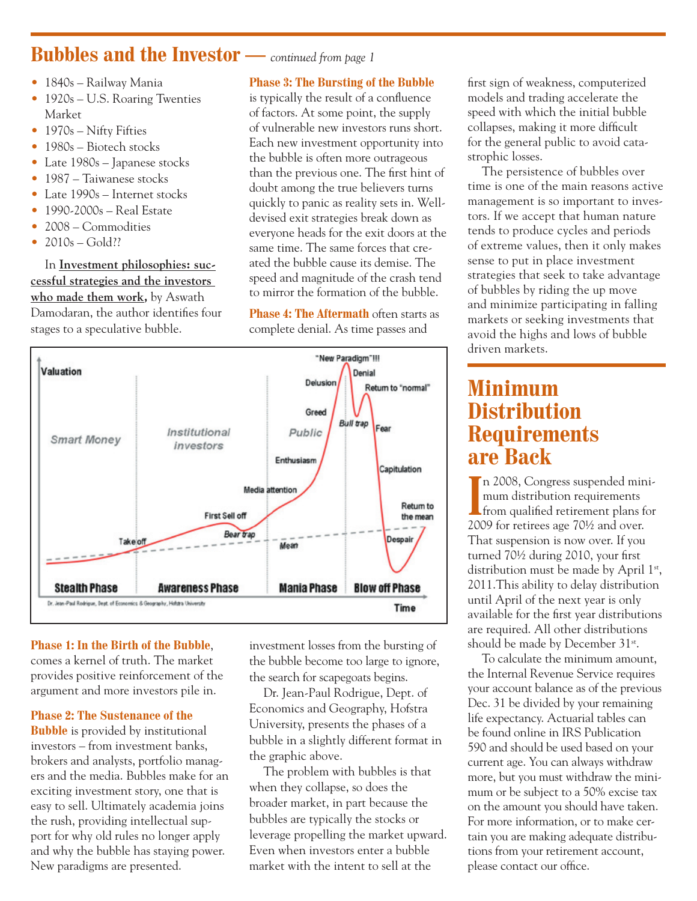### **Bubbles and the Investor —** *continued from page 1*

- 1840s Railway Mania
- 1920s U.S. Roaring Twenties Market
- 1970s Nifty Fifties
- 1980s Biotech stocks
- Late 1980s Japanese stocks
- 1987 Taiwanese stocks
- Late 1990s Internet stocks
- 1990-2000s Real Estate
- 2008 Commodities
- $2010s Gold?$

In **Investment philosophies: successful strategies and the investors who made them work,** by Aswath Damodaran, the author identifies four stages to a speculative bubble.

#### **Phase 3: The Bursting of the Bubble**

is typically the result of a confluence of factors. At some point, the supply of vulnerable new investors runs short. Each new investment opportunity into the bubble is often more outrageous than the previous one. The first hint of doubt among the true believers turns quickly to panic as reality sets in. Welldevised exit strategies break down as everyone heads for the exit doors at the same time. The same forces that created the bubble cause its demise. The speed and magnitude of the crash tend to mirror the formation of the bubble.

**Phase 4: The Aftermath** often starts as complete denial. As time passes and



#### **Phase 1: In the Birth of the Bubble**,

comes a kernel of truth. The market provides positive reinforcement of the argument and more investors pile in.

#### **Phase 2: The Sustenance of the**

**Bubble** is provided by institutional investors – from investment banks, brokers and analysts, portfolio managers and the media. Bubbles make for an exciting investment story, one that is easy to sell. Ultimately academia joins the rush, providing intellectual support for why old rules no longer apply and why the bubble has staying power. New paradigms are presented.

investment losses from the bursting of the bubble become too large to ignore, the search for scapegoats begins.

Dr. Jean-Paul Rodrigue, Dept. of Economics and Geography, Hofstra University, presents the phases of a bubble in a slightly different format in the graphic above.

The problem with bubbles is that when they collapse, so does the broader market, in part because the bubbles are typically the stocks or leverage propelling the market upward. Even when investors enter a bubble market with the intent to sell at the

first sign of weakness, computerized models and trading accelerate the speed with which the initial bubble collapses, making it more difficult for the general public to avoid catastrophic losses.

The persistence of bubbles over time is one of the main reasons active management is so important to investors. If we accept that human nature tends to produce cycles and periods of extreme values, then it only makes sense to put in place investment strategies that seek to take advantage of bubbles by riding the up move and minimize participating in falling markets or seeking investments that avoid the highs and lows of bubble driven markets.

### **Minimum Distribution Requirements are Back**

In 2008, Congress suspended mini-<br>
from qualified retirement plans for<br>
2000 6 n 2008, Congress suspended minimum distribution requirements 2009 for retirees age 70½ and over. That suspension is now over. If you turned 70½ during 2010, your first distribution must be made by April 1<sup>st</sup>, 2011.This ability to delay distribution until April of the next year is only available for the first year distributions are required. All other distributions should be made by December 31<sup>st</sup>.

To calculate the minimum amount, the Internal Revenue Service requires your account balance as of the previous Dec. 31 be divided by your remaining life expectancy. Actuarial tables can be found online in IRS Publication 590 and should be used based on your current age. You can always withdraw more, but you must withdraw the minimum or be subject to a 50% excise tax on the amount you should have taken. For more information, or to make certain you are making adequate distributions from your retirement account, please contact our office.